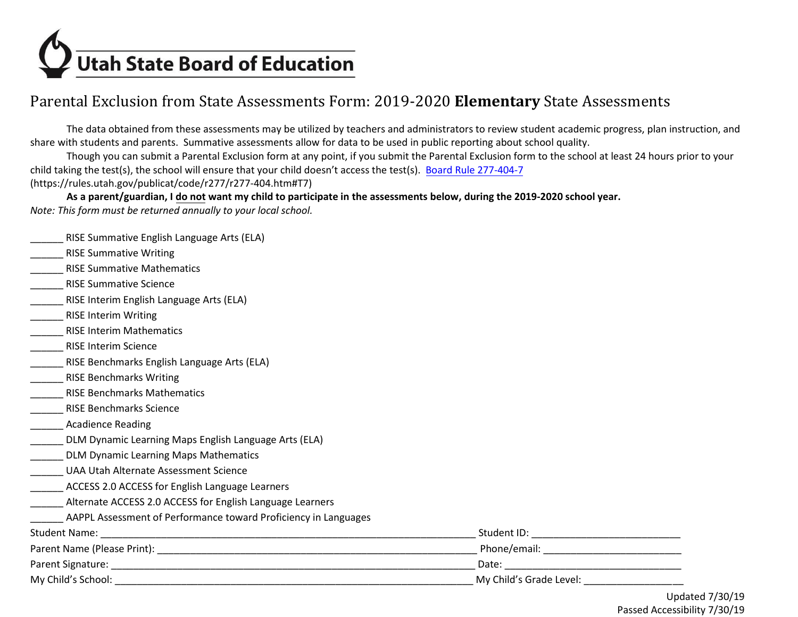

# Parental Exclusion from State Assessments Form: 2019-2020 **Elementary** State Assessments

The data obtained from these assessments may be utilized by teachers and administrators to review student academic progress, plan instruction, and share with students and parents. Summative assessments allow for data to be used in public reporting about school quality.

child taking the test(s), the school will ensure that your child doesn't access the test(s). Board Rule 277-404-7 Though you can submit a Parental Exclusion form at any point, if you submit the Parental Exclusion form to the school at least 24 hours prior to your [\(https://rules.utah.gov/publicat/code/r277/r277-404.htm#T7](https://rules.utah.gov/publicat/code/r277/r277-404.htm#T7))

 **As a parent/guardian, I do not want my child to participate in the assessments below, during the 2019-2020 school year.**  *Note: This form must be returned annually to your local school.* 

|                                                                 |                                                                                                                                                                                                                               | <b>LIndatod</b> |
|-----------------------------------------------------------------|-------------------------------------------------------------------------------------------------------------------------------------------------------------------------------------------------------------------------------|-----------------|
|                                                                 | My Child's Grade Level:                                                                                                                                                                                                       |                 |
|                                                                 | Date: Date: Date: Date: Date: Date: Date: Date: Date: Date: Date: Date: Date: Date: Date: Date: Date: Date: Date: Date: Date: Date: Date: Date: Date: Date: Date: Date: Date: Date: Date: Date: Date: Date: Date: Date: Date: |                 |
|                                                                 |                                                                                                                                                                                                                               |                 |
| <b>Student Name:</b>                                            |                                                                                                                                                                                                                               |                 |
| AAPPL Assessment of Performance toward Proficiency in Languages |                                                                                                                                                                                                                               |                 |
| Alternate ACCESS 2.0 ACCESS for English Language Learners       |                                                                                                                                                                                                                               |                 |
| ACCESS 2.0 ACCESS for English Language Learners                 |                                                                                                                                                                                                                               |                 |
| UAA Utah Alternate Assessment Science                           |                                                                                                                                                                                                                               |                 |
| DLM Dynamic Learning Maps Mathematics                           |                                                                                                                                                                                                                               |                 |
| DLM Dynamic Learning Maps English Language Arts (ELA)           |                                                                                                                                                                                                                               |                 |
| <b>Acadience Reading</b>                                        |                                                                                                                                                                                                                               |                 |
| <b>RISE Benchmarks Science</b>                                  |                                                                                                                                                                                                                               |                 |
| <b>RISE Benchmarks Mathematics</b>                              |                                                                                                                                                                                                                               |                 |
| <b>RISE Benchmarks Writing</b>                                  |                                                                                                                                                                                                                               |                 |
| RISE Benchmarks English Language Arts (ELA)                     |                                                                                                                                                                                                                               |                 |
| <b>RISE Interim Science</b>                                     |                                                                                                                                                                                                                               |                 |
| <b>RISE Interim Mathematics</b>                                 |                                                                                                                                                                                                                               |                 |
| <b>RISE Interim Writing</b>                                     |                                                                                                                                                                                                                               |                 |
| RISE Interim English Language Arts (ELA)                        |                                                                                                                                                                                                                               |                 |
| <b>RISE Summative Science</b>                                   |                                                                                                                                                                                                                               |                 |
| <b>RISE Summative Mathematics</b>                               |                                                                                                                                                                                                                               |                 |
| <b>RISE Summative Writing</b>                                   |                                                                                                                                                                                                                               |                 |
| RISE Summative English Language Arts (ELA)                      |                                                                                                                                                                                                                               |                 |

Updated 7/30/19 Passed Accessibility 7/30/19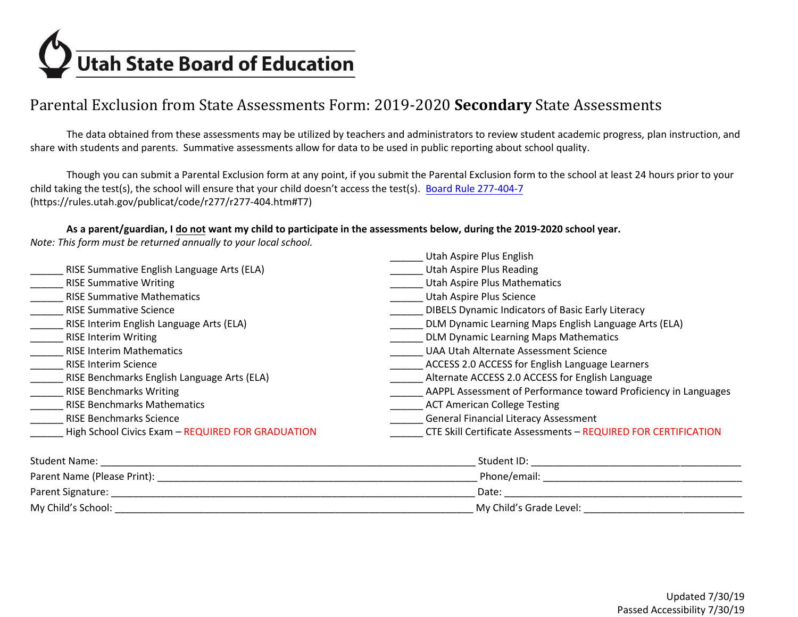

# Parental Exclusion from State Assessments Form: 2019-2020 **Secondary** State Assessments

The data obtained from these assessments may be utilized by teachers and administrators to review student academic progress, plan instruction, and share with students and parents. Summative assessments allow for data to be used in public reporting about school quality.

child taking the test(s), the school will ensure that your child doesn't access the test(s). Board Rule 277-404-7 Though you can submit a Parental Exclusion form at any point, if you submit the Parental Exclusion form to the school at least 24 hours prior to your [\(https://rules.utah.gov/publicat/code/r277/r277-404.htm#T7](https://rules.utah.gov/publicat/code/r277/r277-404.htm#T7))

#### **As a parent/guardian, I do not want my child to participate in the assessments below, during the 2019-2020 school year.**

*Note: This form must be returned annually to your local school.* 

| <b>Utah Aspire Plus Reading</b><br>RISE Summative English Language Arts (ELA)                                                        |  |
|--------------------------------------------------------------------------------------------------------------------------------------|--|
|                                                                                                                                      |  |
| <b>RISE Summative Writing</b><br><b>Utah Aspire Plus Mathematics</b>                                                                 |  |
| Utah Aspire Plus Science<br><b>RISE Summative Mathematics</b>                                                                        |  |
| <b>DIBELS Dynamic Indicators of Basic Early Literacy</b><br><b>RISE Summative Science</b>                                            |  |
| RISE Interim English Language Arts (ELA)<br>DLM Dynamic Learning Maps English Language Arts (ELA)                                    |  |
| <b>DLM Dynamic Learning Maps Mathematics</b><br><b>RISE Interim Writing</b>                                                          |  |
| <b>RISE Interim Mathematics</b><br>UAA Utah Alternate Assessment Science                                                             |  |
| ACCESS 2.0 ACCESS for English Language Learners<br><b>RISE Interim Science</b>                                                       |  |
| Alternate ACCESS 2.0 ACCESS for English Language<br>RISE Benchmarks English Language Arts (ELA)                                      |  |
| AAPPL Assessment of Performance toward Proficiency in Languages<br><b>RISE Benchmarks Writing</b>                                    |  |
| <b>RISE Benchmarks Mathematics</b><br><b>ACT American College Testing</b>                                                            |  |
| <b>General Financial Literacy Assessment</b><br><b>RISE Benchmarks Science</b>                                                       |  |
| High School Civics Exam - REQUIRED FOR GRADUATION<br>CTE Skill Certificate Assessments - REQUIRED FOR CERTIFICATION                  |  |
| <b>Student Name:</b><br>Student ID: Analysis and Alexander and Alexander and Alexander and Alexander and Alexander and Alexander and |  |
| Parent Name (Please Print):<br>Phone/email:                                                                                          |  |
| Parent Signature:<br>Date:                                                                                                           |  |

My Child's School: \_\_\_\_\_\_\_\_\_\_\_\_\_\_\_\_\_\_\_\_\_\_\_\_\_\_\_\_\_\_\_\_\_\_\_\_\_\_\_\_\_\_\_\_\_\_\_\_\_\_\_\_\_\_\_\_\_\_\_\_\_\_\_\_\_ My Child's Grade Level: \_\_\_\_\_\_\_\_\_\_\_\_\_\_\_\_\_\_\_\_\_\_\_\_\_\_\_\_\_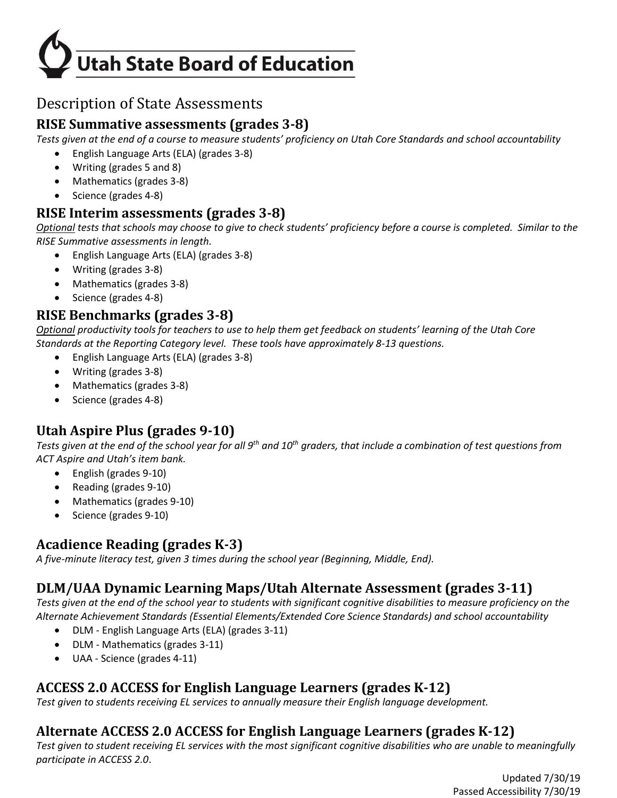

# Description of State Assessments

## **RISE Summative assessments (grades 3-8)**

*Tests given at the end of a course to measure students' proficiency on Utah Core Standards and school accountability* 

- English Language Arts (ELA) (grades 3-8)
- Writing (grades 5 and 8)
- Mathematics (grades 3-8)
- Science (grades 4-8)

#### **RISE Interim assessments (grades 3-8)**

 *Optional tests that schools may choose to give to check students' proficiency before a course is completed. Similar to the RISE Summative assessments in length.* 

- English Language Arts (ELA) (grades 3-8)
- Writing (grades 3-8)
- Mathematics (grades 3-8)
- Science (grades 4-8)

#### **RISE Benchmarks (grades 3-8)**

*Optional productivity tools for teachers to use to help them get feedback on students' learning of the Utah Core Standards at the Reporting Category level. These tools have approximately 8-13 questions.* 

- English Language Arts (ELA) (grades 3-8)
- Writing (grades 3-8)
- Mathematics (grades 3-8)
- Science (grades 4-8)

## **Utah Aspire Plus (grades 9-10)**

*Tests given at the end of the school year for all 9th and 10th graders, that include a combination of test questions from ACT Aspire and Utah's item bank.*

- English (grades 9-10)
- Reading (grades 9-10)
- Mathematics (grades 9-10)
- Science (grades 9-10)

## **Acadience Reading (grades K-3)**

*A five-minute literacy test, given 3 times during the school year (Beginning, Middle, End).* 

## **DLM/UAA Dynamic Learning Maps/Utah Alternate Assessment (grades 3-11)**

*Tests given at the end of the school year to students with significant cognitive disabilities to measure proficiency on the Alternate Achievement Standards (Essential Elements/Extended Core Science Standards) and school accountability* 

- DLM English Language Arts (ELA) (grades 3-11)
- DLM Mathematics (grades 3-11)
- UAA Science (grades 4-11)

# **ACCESS 2.0 ACCESS for English Language Learners (grades K-12)**

*Test given to students receiving EL services to annually measure their English language development.* 

## **Alternate ACCESS 2.0 ACCESS for English Language Learners (grades K-12)**

*Test given to student receiving EL services with the most significant cognitive disabilities who are unable to meaningfully participate in ACCESS 2.0*.

> Updated 7/30/19 Passed Accessibility 7/30/19